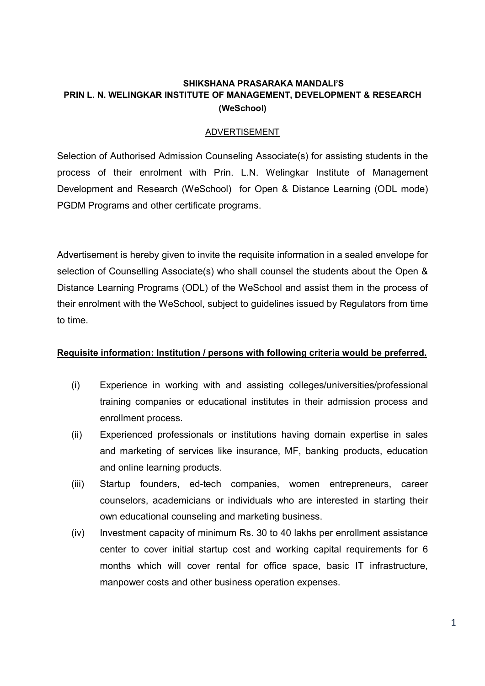## SHIKSHANA PRASARAKA MANDALI'S PRIN L. N. WELINGKAR INSTITUTE OF MANAGEMENT, DEVELOPMENT & RESEARCH (WeSchool)

### ADVERTISEMENT

Selection of Authorised Admission Counseling Associate(s) for assisting students in the process of their enrolment with Prin. L.N. Welingkar Institute of Management Development and Research (WeSchool) for Open & Distance Learning (ODL mode) PGDM Programs and other certificate programs.

Advertisement is hereby given to invite the requisite information in a sealed envelope for selection of Counselling Associate(s) who shall counsel the students about the Open & Distance Learning Programs (ODL) of the WeSchool and assist them in the process of their enrolment with the WeSchool, subject to guidelines issued by Regulators from time to time.

### Requisite information: Institution / persons with following criteria would be preferred.

- (i) Experience in working with and assisting colleges/universities/professional training companies or educational institutes in their admission process and enrollment process.
- (ii) Experienced professionals or institutions having domain expertise in sales and marketing of services like insurance, MF, banking products, education and online learning products.
- (iii) Startup founders, ed-tech companies, women entrepreneurs, career counselors, academicians or individuals who are interested in starting their own educational counseling and marketing business.
- (iv) Investment capacity of minimum Rs. 30 to 40 lakhs per enrollment assistance center to cover initial startup cost and working capital requirements for 6 months which will cover rental for office space, basic IT infrastructure, manpower costs and other business operation expenses.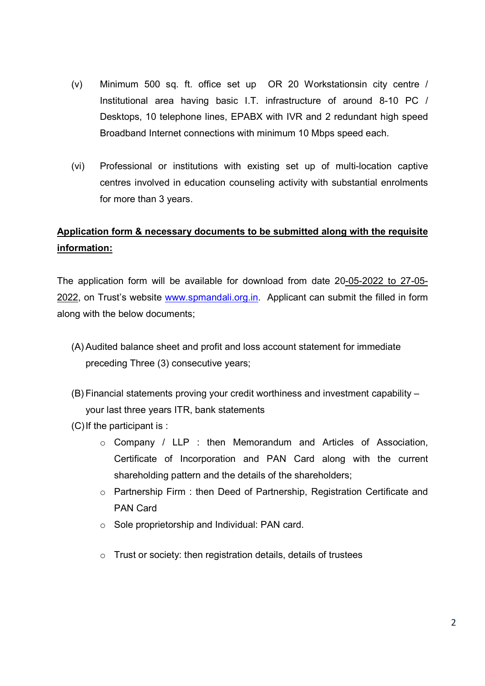- (v) Minimum 500 sq. ft. office set up OR 20 Workstationsin city centre / Institutional area having basic I.T. infrastructure of around 8-10 PC / Desktops, 10 telephone lines, EPABX with IVR and 2 redundant high speed Broadband Internet connections with minimum 10 Mbps speed each.
- (vi) Professional or institutions with existing set up of multi-location captive centres involved in education counseling activity with substantial enrolments for more than 3 years.

# Application form & necessary documents to be submitted along with the requisite information:

The application form will be available for download from date 20-05-2022 to 27-05- 2022, on Trust's website www.spmandali.org.in. Applicant can submit the filled in form along with the below documents;

- (A) Audited balance sheet and profit and loss account statement for immediate preceding Three (3) consecutive years;
- (B) Financial statements proving your credit worthiness and investment capability your last three years ITR, bank statements
- (C) If the participant is :
	- o Company / LLP : then Memorandum and Articles of Association, Certificate of Incorporation and PAN Card along with the current shareholding pattern and the details of the shareholders;
	- $\circ$  Partnership Firm : then Deed of Partnership, Registration Certificate and PAN Card
	- o Sole proprietorship and Individual: PAN card.
	- o Trust or society: then registration details, details of trustees